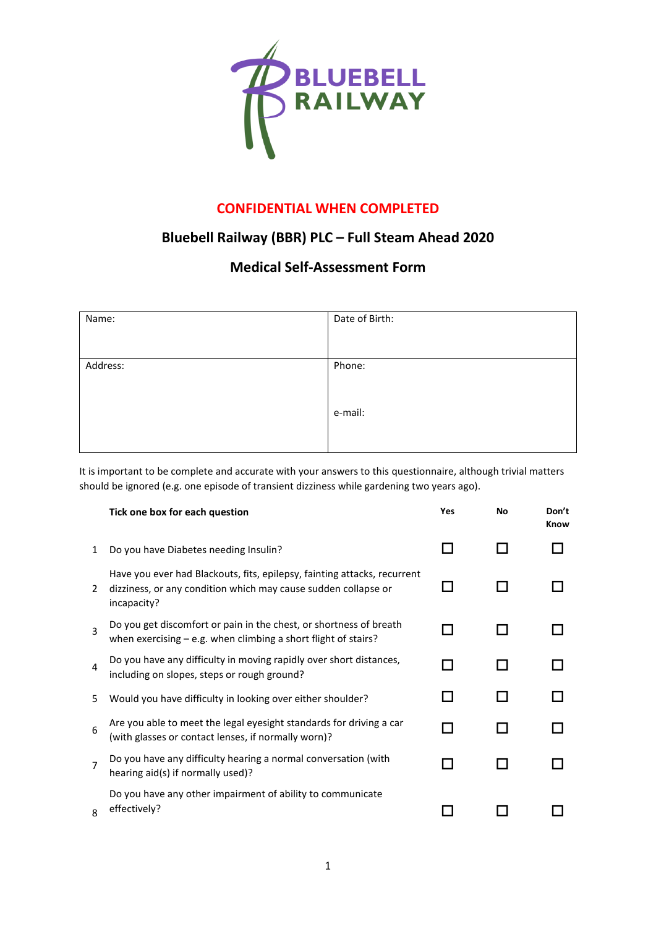

## **CONFIDENTIAL WHEN COMPLETED**

## **Bluebell Railway (BBR) PLC – Full Steam Ahead 2020**

## **Medical Self-Assessment Form**

| Name:    | Date of Birth: |
|----------|----------------|
|          |                |
| Address: | Phone:         |
|          |                |
|          | e-mail:        |
|          |                |

It is important to be complete and accurate with your answers to this questionnaire, although trivial matters should be ignored (e.g. one episode of transient dizziness while gardening two years ago).

|                | Tick one box for each question                                                                                                                            | Yes | No | Don't<br>Know |
|----------------|-----------------------------------------------------------------------------------------------------------------------------------------------------------|-----|----|---------------|
| 1              | Do you have Diabetes needing Insulin?                                                                                                                     |     |    |               |
| 2              | Have you ever had Blackouts, fits, epilepsy, fainting attacks, recurrent<br>dizziness, or any condition which may cause sudden collapse or<br>incapacity? |     |    |               |
| 3              | Do you get discomfort or pain in the chest, or shortness of breath<br>when exercising $-$ e.g. when climbing a short flight of stairs?                    |     |    |               |
| 4              | Do you have any difficulty in moving rapidly over short distances,<br>including on slopes, steps or rough ground?                                         |     |    |               |
| 5.             | Would you have difficulty in looking over either shoulder?                                                                                                |     |    |               |
| 6              | Are you able to meet the legal eyesight standards for driving a car<br>(with glasses or contact lenses, if normally worn)?                                |     |    |               |
| $\overline{7}$ | Do you have any difficulty hearing a normal conversation (with<br>hearing aid(s) if normally used)?                                                       |     |    |               |
| $\mathsf{R}$   | Do you have any other impairment of ability to communicate<br>effectively?                                                                                |     |    |               |